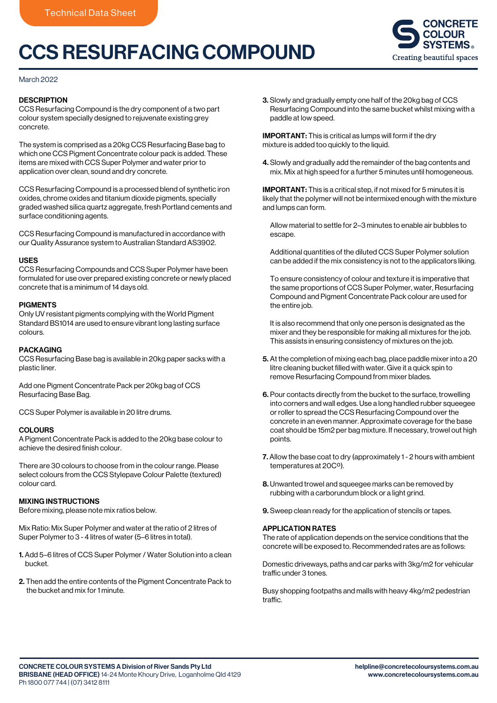# CCS RESURFACING COMPOUND



### March 2022

### **DESCRIPTION**

CCS Resurfacing Compound is the dry component of a two part colour system specially designed to rejuvenate existing grey concrete.

The system is comprised as a 20kg CCS Resurfacing Base bag to which one CCS Pigment Concentrate colour pack is added. These items are mixed with CCS Super Polymer and water prior to application over clean, sound and dry concrete.

CCS Resurfacing Compound is a processed blend of synthetic iron oxides, chrome oxides and titanium dioxide pigments, specially graded washed silica quartz aggregate, fresh Portland cements and surface conditioning agents.

CCS Resurfacing Compound is manufactured in accordance with our Quality Assurance system to Australian Standard AS3902.

### USES

CCS Resurfacing Compounds and CCS Super Polymer have been formulated for use over prepared existing concrete or newly placed concrete that is a minimum of 14 days old.

### PIGMENTS

Only UV resistant pigments complying with the World Pigment Standard BS1014 are used to ensure vibrant long lasting surface colours.

### PACKAGING

CCS Resurfacing Base bag is available in 20kg paper sacks with a plastic liner.

Add one Pigment Concentrate Pack per 20kg bag of CCS Resurfacing Base Bag.

CCS Super Polymer is available in 20 litre drums.

### COLOURS

A Pigment Concentrate Pack is added to the 20kg base colour to achieve the desired finish colour.

There are 30 colours to choose from in the colour range. Please select colours from the CCS Stylepave Colour Palette (textured) colour card.

### MIXING INSTRUCTIONS

Before mixing, please note mix ratios below.

Mix Ratio: Mix Super Polymer and water at the ratio of 2 litres of Super Polymer to 3 - 4 litres of water (5–6 litres in total).

- 1. Add 5–6 litres of CCS Super Polymer / Water Solution into a clean bucket.
- 2. Then add the entire contents of the Pigment Concentrate Pack to the bucket and mix for 1 minute.

3. Slowly and gradually empty one half of the 20kg bag of CCS Resurfacing Compound into the same bucket whilst mixing with a paddle at low speed.

IMPORTANT: This is critical as lumps will form if the dry mixture is added too quickly to the liquid.

4. Slowly and gradually add the remainder of the bag contents and mix. Mix at high speed for a further 5 minutes until homogeneous.

IMPORTANT: This is a critical step, if not mixed for 5 minutes it is likely that the polymer will not be intermixed enough with the mixture and lumps can form.

 Allow material to settle for 2–3 minutes to enable air bubbles to escape.

 Additional quantities of the diluted CCS Super Polymer solution can be added if the mix consistency is not to the applicators liking.

 To ensure consistency of colour and texture it is imperative that the same proportions of CCS Super Polymer, water, Resurfacing Compound and Pigment Concentrate Pack colour are used for the entire job.

 It is also recommend that only one person is designated as the mixer and they be responsible for making all mixtures for the job. This assists in ensuring consistency of mixtures on the job.

- 5. At the completion of mixing each bag, place paddle mixer into a 20 litre cleaning bucket filled with water. Give it a quick spin to remove Resurfacing Compound from mixer blades.
- 6. Pour contacts directly from the bucket to the surface, trowelling into corners and wall edges. Use a long handled rubber squeegee or roller to spread the CCS Resurfacing Compound over the concrete in an even manner. Approximate coverage for the base coat should be 15m2 per bag mixture. If necessary, trowel out high points.
- 7. Allow the base coat to dry (approximately 1 2 hours with ambient temperatures at 20Cº).
- 8. Unwanted trowel and squeegee marks can be removed by rubbing with a carborundum block or a light grind.
- 9. Sweep clean ready for the application of stencils or tapes.

### APPLICATION RATES

The rate of application depends on the service conditions that the concrete will be exposed to. Recommended rates are as follows:

Domestic driveways, paths and car parks with 3kg/m2 for vehicular traffic under 3 tones.

Busy shopping footpaths and malls with heavy 4kg/m2 pedestrian traffic.